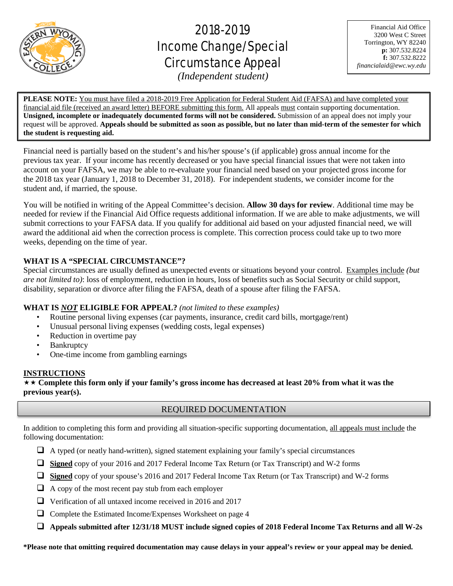

֦

# 2018-2019 Income Change/Special Circumstance Appeal

Financial Aid Office 3200 West C Street Torrington, WY 82240 **p:** 307.532.8224 **f:** 307.532.8222 *financialaid@ewc.wy.edu*

*(Independent student)*

**PLEASE NOTE:** You must have filed a 2018-2019 Free Application for Federal Student Aid (FAFSA) and have completed your financial aid file (received an award letter) BEFORE submitting this form. All appeals must contain supporting documentation. **Unsigned, incomplete or inadequately documented forms will not be considered.** Submission of an appeal does not imply your request will be approved. **Appeals should be submitted as soon as possible, but no later than mid-term of the semester for which the student is requesting aid.**

Financial need is partially based on the student's and his/her spouse's (if applicable) gross annual income for the previous tax year. If your income has recently decreased or you have special financial issues that were not taken into account on your FAFSA, we may be able to re-evaluate your financial need based on your projected gross income for the 2018 tax year (January 1, 2018 to December 31, 2018). For independent students, we consider income for the student and, if married, the spouse.

You will be notified in writing of the Appeal Committee's decision. **Allow 30 days for review**. Additional time may be needed for review if the Financial Aid Office requests additional information. If we are able to make adjustments, we will submit corrections to your FAFSA data. If you qualify for additional aid based on your adjusted financial need, we will award the additional aid when the correction process is complete. This correction process could take up to two more weeks, depending on the time of year.

# **WHAT IS A "SPECIAL CIRCUMSTANCE"?**

Special circumstances are usually defined as unexpected events or situations beyond your control. Examples include *(but are not limited to)*: loss of employment, reduction in hours, loss of benefits such as Social Security or child support, disability, separation or divorce after filing the FAFSA, death of a spouse after filing the FAFSA.

# **WHAT IS** *NOT* **ELIGIBLE FOR APPEAL?** *(not limited to these examples)*

- Routine personal living expenses (car payments, insurance, credit card bills, mortgage/rent)
- Unusual personal living expenses (wedding costs, legal expenses)
- Reduction in overtime pay
- Bankruptcy
- One-time income from gambling earnings

# **INSTRUCTIONS**

 **Complete this form only if your family's gross income has decreased at least 20% from what it was the previous year(s).**

# REQUIRED DOCUMENTATION

In addition to completing this form and providing all situation-specific supporting documentation, all appeals must include the following documentation:

- $\Box$  A typed (or neatly hand-written), signed statement explaining your family's special circumstances
- **Signed** copy of your 2016 and 2017 Federal Income Tax Return (or Tax Transcript) and W-2 forms
- **Signed** copy of your spouse's 2016 and 2017 Federal Income Tax Return (or Tax Transcript) and W-2 forms
- $\Box$  A copy of the most recent pay stub from each employer
- $\Box$  Verification of all untaxed income received in 2016 and 2017
- $\Box$  Complete the Estimated Income/Expenses Worksheet on page 4
- **Appeals submitted after 12/31/18 MUST include signed copies of 2018 Federal Income Tax Returns and all W-2s**

**\*Please note that omitting required documentation may cause delays in your appeal's review or your appeal may be denied.**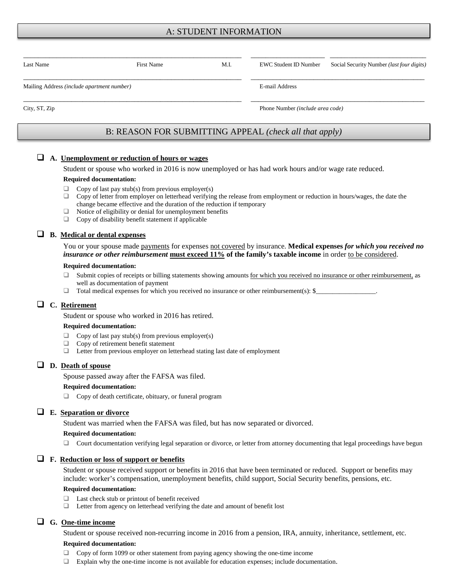## A: STUDENT INFORMATION

| Last Name                                  | <b>First Name</b>                                      | M.I. | <b>EWC Student ID Number</b>     | Social Security Number (last four digits) |  |
|--------------------------------------------|--------------------------------------------------------|------|----------------------------------|-------------------------------------------|--|
|                                            |                                                        |      |                                  |                                           |  |
| Mailing Address (include apartment number) |                                                        |      | E-mail Address                   |                                           |  |
| City, ST, Zip                              |                                                        |      | Phone Number (include area code) |                                           |  |
|                                            |                                                        |      |                                  |                                           |  |
|                                            | B: REASON FOR SUBMITTING APPEAL (check all that apply) |      |                                  |                                           |  |

#### **A. Unemployment or reduction of hours or wages**

Student or spouse who worked in 2016 is now unemployed or has had work hours and/or wage rate reduced.

#### **Required documentation:**

- $\Box$  Copy of last pay stub(s) from previous employer(s)
- $\Box$  Copy of letter from employer on letterhead verifying the release from employment or reduction in hours/wages, the date the change became effective and the duration of the reduction if temporary
- $\Box$  Notice of eligibility or denial for unemployment benefits
- □ Copy of disability benefit statement if applicable

## **B. Medical or dental expenses**

You or your spouse made payments for expenses not covered by insurance. **Medical expenses** *for which you received no insurance or other reimbursement* **must exceed 11% of the family's taxable income** in order to be considered.

#### **Required documentation:**

- $\Box$  Submit copies of receipts or billing statements showing amounts for which you received no insurance or other reimbursement, as well as documentation of payment
- $\Box$  Total medical expenses for which you received no insurance or other reimbursement(s): \$

## **C. Retirement**

Student or spouse who worked in 2016 has retired.

#### **Required documentation:**

- $\Box$  Copy of last pay stub(s) from previous employer(s)
- $\Box$  Copy of retirement benefit statement
- $\Box$  Letter from previous employer on letterhead stating last date of employment

### **D. Death of spouse**

Spouse passed away after the FAFSA was filed.

#### **Required documentation:**

 $\Box$  Copy of death certificate, obituary, or funeral program

#### **E. Separation or divorce**

Student was married when the FAFSA was filed, but has now separated or divorced.

#### **Required documentation:**

 $\Box$  Court documentation verifying legal separation or divorce, or letter from attorney documenting that legal proceedings have begun

#### **F. Reduction or loss of support or benefits**

Student or spouse received support or benefits in 2016 that have been terminated or reduced. Support or benefits may include: worker's compensation, unemployment benefits, child support, Social Security benefits, pensions, etc.

#### **Required documentation:**

- $\Box$  Last check stub or printout of benefit received
- $\Box$  Letter from agency on letterhead verifying the date and amount of benefit lost

## **G. One-time income**

Student or spouse received non-recurring income in 2016 from a pension, IRA, annuity, inheritance, settlement, etc.

#### **Required documentation:**

- Copy of form 1099 or other statement from paying agency showing the one-time income
- Explain why the one-time income is not available for education expenses; include documentation.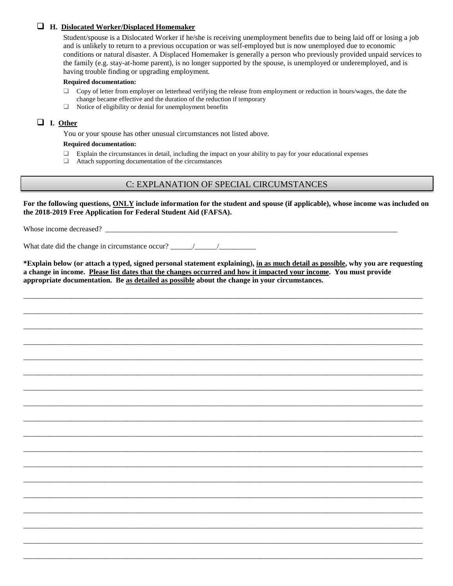## **H. Dislocated Worker/Displaced Homemaker**

Student/spouse is a Dislocated Worker if he/she is receiving unemployment benefits due to being laid off or losing a job and is unlikely to return to a previous occupation or was self-employed but is now unemployed due to economic conditions or natural disaster. A Displaced Homemaker is generally a person who previously provided unpaid services to the family (e.g. stay-at-home parent), is no longer supported by the spouse, is unemployed or underemployed, and is having trouble finding or upgrading employment.

#### **Required documentation:**

- $\Box$  Copy of letter from employer on letterhead verifying the release from employment or reduction in hours/wages, the date the change became effective and the duration of the reduction if temporary
- $\Box$  Notice of eligibility or denial for unemployment benefits

## **I. Other**

You or your spouse has other unusual circumstances not listed above.

#### **Required documentation:**

- $\Box$  Explain the circumstances in detail, including the impact on your ability to pay for your educational expenses
- Attach supporting documentation of the circumstances

## C: EXPLANATION OF SPECIAL CIRCUMSTANCES

**For the following questions, ONLY include information for the student and spouse (if applicable), whose income was included on the 2018-2019 Free Application for Federal Student Aid (FAFSA).**

Whose income decreased?

What date did the change in circumstance occur?

**\*Explain below (or attach a typed, signed personal statement explaining), in as much detail as possible, why you are requesting a change in income. Please list dates that the changes occurred and how it impacted your income. You must provide appropriate documentation. Be as detailed as possible about the change in your circumstances.** 

\_\_\_\_\_\_\_\_\_\_\_\_\_\_\_\_\_\_\_\_\_\_\_\_\_\_\_\_\_\_\_\_\_\_\_\_\_\_\_\_\_\_\_\_\_\_\_\_\_\_\_\_\_\_\_\_\_\_\_\_\_\_\_\_\_\_\_\_\_\_\_\_\_\_\_\_\_\_\_\_\_\_\_\_\_\_\_\_\_\_\_\_\_\_\_\_\_\_\_\_\_\_\_\_\_\_\_\_

\_\_\_\_\_\_\_\_\_\_\_\_\_\_\_\_\_\_\_\_\_\_\_\_\_\_\_\_\_\_\_\_\_\_\_\_\_\_\_\_\_\_\_\_\_\_\_\_\_\_\_\_\_\_\_\_\_\_\_\_\_\_\_\_\_\_\_\_\_\_\_\_\_\_\_\_\_\_\_\_\_\_\_\_\_\_\_\_\_\_\_\_\_\_\_\_\_\_\_\_\_\_\_\_\_\_\_\_

\_\_\_\_\_\_\_\_\_\_\_\_\_\_\_\_\_\_\_\_\_\_\_\_\_\_\_\_\_\_\_\_\_\_\_\_\_\_\_\_\_\_\_\_\_\_\_\_\_\_\_\_\_\_\_\_\_\_\_\_\_\_\_\_\_\_\_\_\_\_\_\_\_\_\_\_\_\_\_\_\_\_\_\_\_\_\_\_\_\_\_\_\_\_\_\_\_\_\_\_\_\_\_\_\_\_\_\_

\_\_\_\_\_\_\_\_\_\_\_\_\_\_\_\_\_\_\_\_\_\_\_\_\_\_\_\_\_\_\_\_\_\_\_\_\_\_\_\_\_\_\_\_\_\_\_\_\_\_\_\_\_\_\_\_\_\_\_\_\_\_\_\_\_\_\_\_\_\_\_\_\_\_\_\_\_\_\_\_\_\_\_\_\_\_\_\_\_\_\_\_\_\_\_\_\_\_\_\_\_\_\_\_\_\_\_\_

\_\_\_\_\_\_\_\_\_\_\_\_\_\_\_\_\_\_\_\_\_\_\_\_\_\_\_\_\_\_\_\_\_\_\_\_\_\_\_\_\_\_\_\_\_\_\_\_\_\_\_\_\_\_\_\_\_\_\_\_\_\_\_\_\_\_\_\_\_\_\_\_\_\_\_\_\_\_\_\_\_\_\_\_\_\_\_\_\_\_\_\_\_\_\_\_\_\_\_\_\_\_\_\_\_\_\_\_

\_\_\_\_\_\_\_\_\_\_\_\_\_\_\_\_\_\_\_\_\_\_\_\_\_\_\_\_\_\_\_\_\_\_\_\_\_\_\_\_\_\_\_\_\_\_\_\_\_\_\_\_\_\_\_\_\_\_\_\_\_\_\_\_\_\_\_\_\_\_\_\_\_\_\_\_\_\_\_\_\_\_\_\_\_\_\_\_\_\_\_\_\_\_\_\_\_\_\_\_\_\_\_\_\_\_\_\_

\_\_\_\_\_\_\_\_\_\_\_\_\_\_\_\_\_\_\_\_\_\_\_\_\_\_\_\_\_\_\_\_\_\_\_\_\_\_\_\_\_\_\_\_\_\_\_\_\_\_\_\_\_\_\_\_\_\_\_\_\_\_\_\_\_\_\_\_\_\_\_\_\_\_\_\_\_\_\_\_\_\_\_\_\_\_\_\_\_\_\_\_\_\_\_\_\_\_\_\_\_\_\_\_\_\_\_\_

\_\_\_\_\_\_\_\_\_\_\_\_\_\_\_\_\_\_\_\_\_\_\_\_\_\_\_\_\_\_\_\_\_\_\_\_\_\_\_\_\_\_\_\_\_\_\_\_\_\_\_\_\_\_\_\_\_\_\_\_\_\_\_\_\_\_\_\_\_\_\_\_\_\_\_\_\_\_\_\_\_\_\_\_\_\_\_\_\_\_\_\_\_\_\_\_\_\_\_\_\_\_\_\_\_\_\_\_

\_\_\_\_\_\_\_\_\_\_\_\_\_\_\_\_\_\_\_\_\_\_\_\_\_\_\_\_\_\_\_\_\_\_\_\_\_\_\_\_\_\_\_\_\_\_\_\_\_\_\_\_\_\_\_\_\_\_\_\_\_\_\_\_\_\_\_\_\_\_\_\_\_\_\_\_\_\_\_\_\_\_\_\_\_\_\_\_\_\_\_\_\_\_\_\_\_\_\_\_\_\_\_\_\_\_\_\_

\_\_\_\_\_\_\_\_\_\_\_\_\_\_\_\_\_\_\_\_\_\_\_\_\_\_\_\_\_\_\_\_\_\_\_\_\_\_\_\_\_\_\_\_\_\_\_\_\_\_\_\_\_\_\_\_\_\_\_\_\_\_\_\_\_\_\_\_\_\_\_\_\_\_\_\_\_\_\_\_\_\_\_\_\_\_\_\_\_\_\_\_\_\_\_\_\_\_\_\_\_\_\_\_\_\_\_\_

\_\_\_\_\_\_\_\_\_\_\_\_\_\_\_\_\_\_\_\_\_\_\_\_\_\_\_\_\_\_\_\_\_\_\_\_\_\_\_\_\_\_\_\_\_\_\_\_\_\_\_\_\_\_\_\_\_\_\_\_\_\_\_\_\_\_\_\_\_\_\_\_\_\_\_\_\_\_\_\_\_\_\_\_\_\_\_\_\_\_\_\_\_\_\_\_\_\_\_\_\_\_\_\_\_\_\_\_

\_\_\_\_\_\_\_\_\_\_\_\_\_\_\_\_\_\_\_\_\_\_\_\_\_\_\_\_\_\_\_\_\_\_\_\_\_\_\_\_\_\_\_\_\_\_\_\_\_\_\_\_\_\_\_\_\_\_\_\_\_\_\_\_\_\_\_\_\_\_\_\_\_\_\_\_\_\_\_\_\_\_\_\_\_\_\_\_\_\_\_\_\_\_\_\_\_\_\_\_\_\_\_\_\_\_\_\_

\_\_\_\_\_\_\_\_\_\_\_\_\_\_\_\_\_\_\_\_\_\_\_\_\_\_\_\_\_\_\_\_\_\_\_\_\_\_\_\_\_\_\_\_\_\_\_\_\_\_\_\_\_\_\_\_\_\_\_\_\_\_\_\_\_\_\_\_\_\_\_\_\_\_\_\_\_\_\_\_\_\_\_\_\_\_\_\_\_\_\_\_\_\_\_\_\_\_\_\_\_\_\_\_\_\_\_\_

\_\_\_\_\_\_\_\_\_\_\_\_\_\_\_\_\_\_\_\_\_\_\_\_\_\_\_\_\_\_\_\_\_\_\_\_\_\_\_\_\_\_\_\_\_\_\_\_\_\_\_\_\_\_\_\_\_\_\_\_\_\_\_\_\_\_\_\_\_\_\_\_\_\_\_\_\_\_\_\_\_\_\_\_\_\_\_\_\_\_\_\_\_\_\_\_\_\_\_\_\_\_\_\_\_\_\_\_

\_\_\_\_\_\_\_\_\_\_\_\_\_\_\_\_\_\_\_\_\_\_\_\_\_\_\_\_\_\_\_\_\_\_\_\_\_\_\_\_\_\_\_\_\_\_\_\_\_\_\_\_\_\_\_\_\_\_\_\_\_\_\_\_\_\_\_\_\_\_\_\_\_\_\_\_\_\_\_\_\_\_\_\_\_\_\_\_\_\_\_\_\_\_\_\_\_\_\_\_\_\_\_\_\_\_\_\_

\_\_\_\_\_\_\_\_\_\_\_\_\_\_\_\_\_\_\_\_\_\_\_\_\_\_\_\_\_\_\_\_\_\_\_\_\_\_\_\_\_\_\_\_\_\_\_\_\_\_\_\_\_\_\_\_\_\_\_\_\_\_\_\_\_\_\_\_\_\_\_\_\_\_\_\_\_\_\_\_\_\_\_\_\_\_\_\_\_\_\_\_\_\_\_\_\_\_\_\_\_\_\_\_\_\_\_\_

\_\_\_\_\_\_\_\_\_\_\_\_\_\_\_\_\_\_\_\_\_\_\_\_\_\_\_\_\_\_\_\_\_\_\_\_\_\_\_\_\_\_\_\_\_\_\_\_\_\_\_\_\_\_\_\_\_\_\_\_\_\_\_\_\_\_\_\_\_\_\_\_\_\_\_\_\_\_\_\_\_\_\_\_\_\_\_\_\_\_\_\_\_\_\_\_\_\_\_\_\_\_\_\_\_\_\_\_

\_\_\_\_\_\_\_\_\_\_\_\_\_\_\_\_\_\_\_\_\_\_\_\_\_\_\_\_\_\_\_\_\_\_\_\_\_\_\_\_\_\_\_\_\_\_\_\_\_\_\_\_\_\_\_\_\_\_\_\_\_\_\_\_\_\_\_\_\_\_\_\_\_\_\_\_\_\_\_\_\_\_\_\_\_\_\_\_\_\_\_\_\_\_\_\_\_\_\_\_\_\_\_\_\_\_\_\_